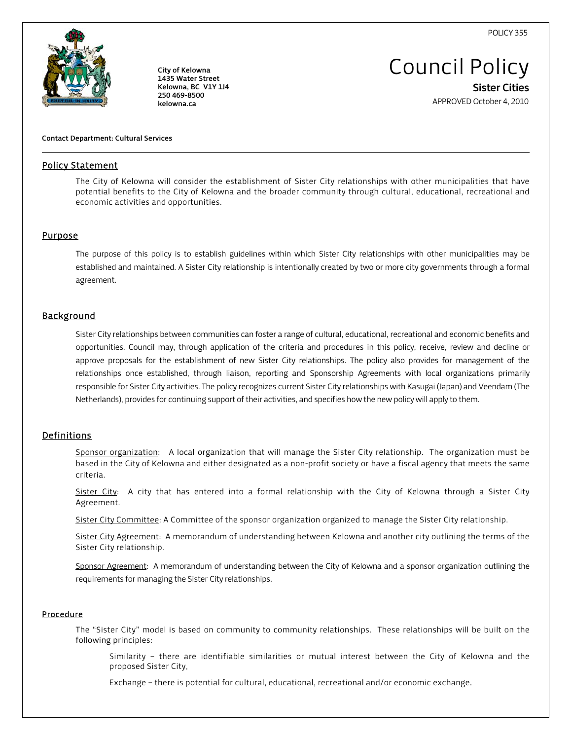POLICY 355



City of Kelowna 1435 Water Street Kelowna, BC V1Y 1J4 250 469-8500 kelowna.ca

Council Policy Sister Cities

APPROVED October 4, 2010

### Contact Department: Cultural Services

### Policy Statement

The City of Kelowna will consider the establishment of Sister City relationships with other municipalities that have potential benefits to the City of Kelowna and the broader community through cultural, educational, recreational and economic activities and opportunities.

### **Purpose**

l

The purpose of this policy is to establish guidelines within which Sister City relationships with other municipalities may be established and maintained. A Sister City relationship is intentionally created by two or more city governments through a formal agreement.

### **Background**

Sister City relationships between communities can foster a range of cultural, educational, recreational and economic benefits and opportunities. Council may, through application of the criteria and procedures in this policy, receive, review and decline or approve proposals for the establishment of new Sister City relationships. The policy also provides for management of the relationships once established, through liaison, reporting and Sponsorship Agreements with local organizations primarily responsible for Sister City activities. The policy recognizes current Sister City relationships with Kasugai (Japan) and Veendam (The Netherlands), provides for continuing support of their activities, and specifies how the new policy will apply to them.

### **Definitions**

Sponsor organization: A local organization that will manage the Sister City relationship. The organization must be based in the City of Kelowna and either designated as a non-profit society or have a fiscal agency that meets the same criteria.

Sister City: A city that has entered into a formal relationship with the City of Kelowna through a Sister City Agreement.

Sister City Committee: A Committee of the sponsor organization organized to manage the Sister City relationship.

Sister City Agreement: A memorandum of understanding between Kelowna and another city outlining the terms of the Sister City relationship.

Sponsor Agreement: A memorandum of understanding between the City of Kelowna and a sponsor organization outlining the requirements for managing the Sister City relationships.

### Procedure

The "Sister City" model is based on community to community relationships. These relationships will be built on the following principles:

Similarity – there are identifiable similarities or mutual interest between the City of Kelowna and the proposed Sister City.

Exchange – there is potential for cultural, educational, recreational and/or economic exchange.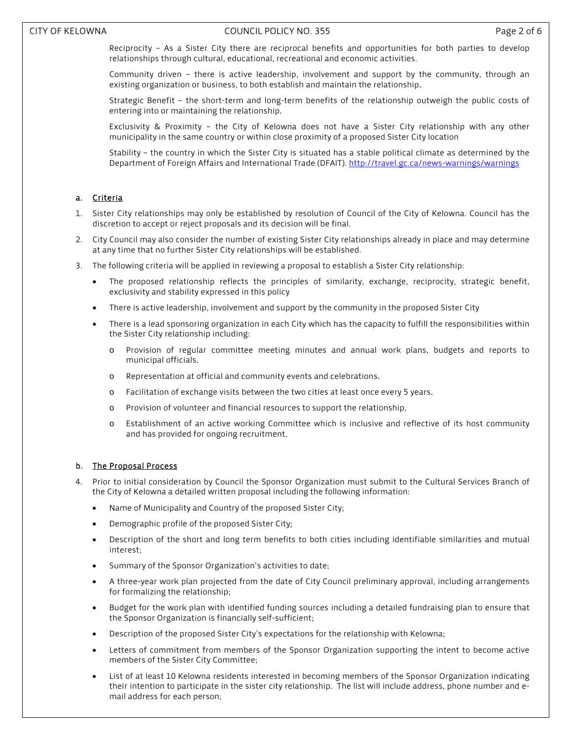Reciprocity – As a Sister City there are reciprocal benefits and opportunities for both parties to develop relationships through cultural, educational, recreational and economic activities.

Community driven – there is active leadership, involvement and support by the community, through an existing organization or business, to both establish and maintain the relationship.

Strategic Benefit – the short-term and long-term benefits of the relationship outweigh the public costs of entering into or maintaining the relationship.

Exclusivity & Proximity – the City of Kelowna does not have a Sister City relationship with any other municipality in the same country or within close proximity of a proposed Sister City location

Stability – the country in which the Sister City is situated has a stable political climate as determined by the Department of Foreign Affairs and International Trade (DFAIT). http://travel.gc.ca/news-warnings/warnings

## a. Criteria

- 1. Sister City relationships may only be established by resolution of Council of the City of Kelowna. Council has the discretion to accept or reject proposals and its decision will be final.
- 2. City Council may also consider the number of existing Sister City relationships already in place and may determine at any time that no further Sister City relationships will be established.
- 3. The following criteria will be applied in reviewing a proposal to establish a Sister City relationship:
	- The proposed relationship reflects the principles of similarity, exchange, reciprocity, strategic benefit, exclusivity and stability expressed in this policy
	- There is active leadership, involvement and support by the community in the proposed Sister City
	- There is a lead sponsoring organization in each City which has the capacity to fulfill the responsibilities within the Sister City relationship including:
		- Provision of regular committee meeting minutes and annual work plans, budgets and reports to municipal officials.
		- o Representation at official and community events and celebrations.
		- o Facilitation of exchange visits between the two cities at least once every 5 years.
		- o Provision of volunteer and financial resources to support the relationship.
		- o Establishment of an active working Committee which is inclusive and reflective of its host community and has provided for ongoing recruitment.

## b. The Proposal Process

- 4. Prior to initial consideration by Council the Sponsor Organization must submit to the Cultural Services Branch of the City of Kelowna a detailed written proposal including the following information:
	- Name of Municipality and Country of the proposed Sister City;
	- Demographic profile of the proposed Sister City;
	- Description of the short and long term benefits to both cities including identifiable similarities and mutual interest;
	- Summary of the Sponsor Organization's activities to date;
	- A three-year work plan projected from the date of City Council preliminary approval, including arrangements for formalizing the relationship;
	- Budget for the work plan with identified funding sources including a detailed fundraising plan to ensure that the Sponsor Organization is financially self-sufficient;
	- Description of the proposed Sister City's expectations for the relationship with Kelowna;
	- Letters of commitment from members of the Sponsor Organization supporting the intent to become active members of the Sister City Committee;
	- List of at least 10 Kelowna residents interested in becoming members of the Sponsor Organization indicating their intention to participate in the sister city relationship. The list will include address, phone number and email address for each person;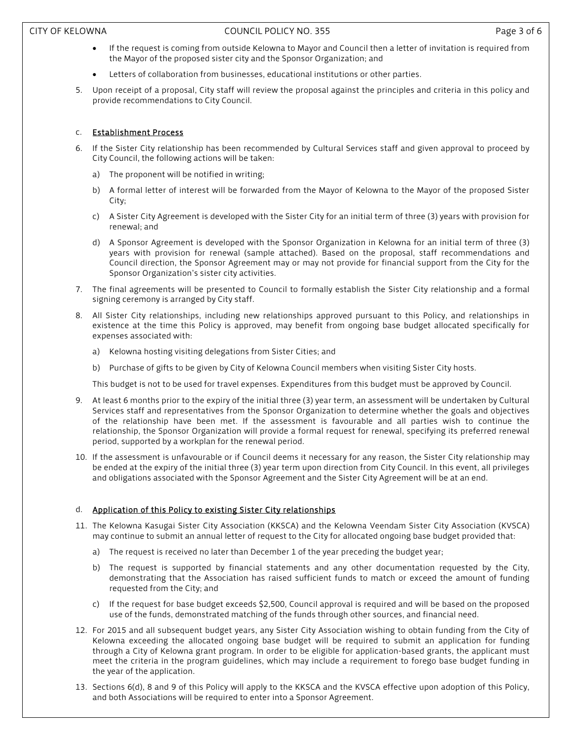### CITY OF KELOWNA COUNCIL POLICY NO. 355 Page 3 of 6

- If the request is coming from outside Kelowna to Mayor and Council then a letter of invitation is required from the Mayor of the proposed sister city and the Sponsor Organization; and
- Letters of collaboration from businesses, educational institutions or other parties.
- 5. Upon receipt of a proposal, City staff will review the proposal against the principles and criteria in this policy and provide recommendations to City Council.

## c. Establishment Process

- 6. If the Sister City relationship has been recommended by Cultural Services staff and given approval to proceed by City Council, the following actions will be taken:
	- a) The proponent will be notified in writing;
	- b) A formal letter of interest will be forwarded from the Mayor of Kelowna to the Mayor of the proposed Sister City;
	- c) A Sister City Agreement is developed with the Sister City for an initial term of three (3) years with provision for renewal; and
	- d) A Sponsor Agreement is developed with the Sponsor Organization in Kelowna for an initial term of three (3) years with provision for renewal (sample attached). Based on the proposal, staff recommendations and Council direction, the Sponsor Agreement may or may not provide for financial support from the City for the Sponsor Organization's sister city activities.
- 7. The final agreements will be presented to Council to formally establish the Sister City relationship and a formal signing ceremony is arranged by City staff.
- 8. All Sister City relationships, including new relationships approved pursuant to this Policy, and relationships in existence at the time this Policy is approved, may benefit from ongoing base budget allocated specifically for expenses associated with:
	- a) Kelowna hosting visiting delegations from Sister Cities; and
	- b) Purchase of gifts to be given by City of Kelowna Council members when visiting Sister City hosts.

This budget is not to be used for travel expenses. Expenditures from this budget must be approved by Council.

- 9. At least 6 months prior to the expiry of the initial three (3) year term, an assessment will be undertaken by Cultural Services staff and representatives from the Sponsor Organization to determine whether the goals and objectives of the relationship have been met. If the assessment is favourable and all parties wish to continue the relationship, the Sponsor Organization will provide a formal request for renewal, specifying its preferred renewal period, supported by a workplan for the renewal period.
- 10. If the assessment is unfavourable or if Council deems it necessary for any reason, the Sister City relationship may be ended at the expiry of the initial three (3) year term upon direction from City Council. In this event, all privileges and obligations associated with the Sponsor Agreement and the Sister City Agreement will be at an end.

## d. Application of this Policy to existing Sister City relationships

- 11. The Kelowna Kasugai Sister City Association (KKSCA) and the Kelowna Veendam Sister City Association (KVSCA) may continue to submit an annual letter of request to the City for allocated ongoing base budget provided that:
	- a) The request is received no later than December 1 of the year preceding the budget year;
	- b) The request is supported by financial statements and any other documentation requested by the City, demonstrating that the Association has raised sufficient funds to match or exceed the amount of funding requested from the City; and
	- c) If the request for base budget exceeds \$2,500, Council approval is required and will be based on the proposed use of the funds, demonstrated matching of the funds through other sources, and financial need.
- 12. For 2015 and all subsequent budget years, any Sister City Association wishing to obtain funding from the City of Kelowna exceeding the allocated ongoing base budget will be required to submit an application for funding through a City of Kelowna grant program. In order to be eligible for application-based grants, the applicant must meet the criteria in the program guidelines, which may include a requirement to forego base budget funding in the year of the application.
- 13. Sections 6(d), 8 and 9 of this Policy will apply to the KKSCA and the KVSCA effective upon adoption of this Policy, and both Associations will be required to enter into a Sponsor Agreement.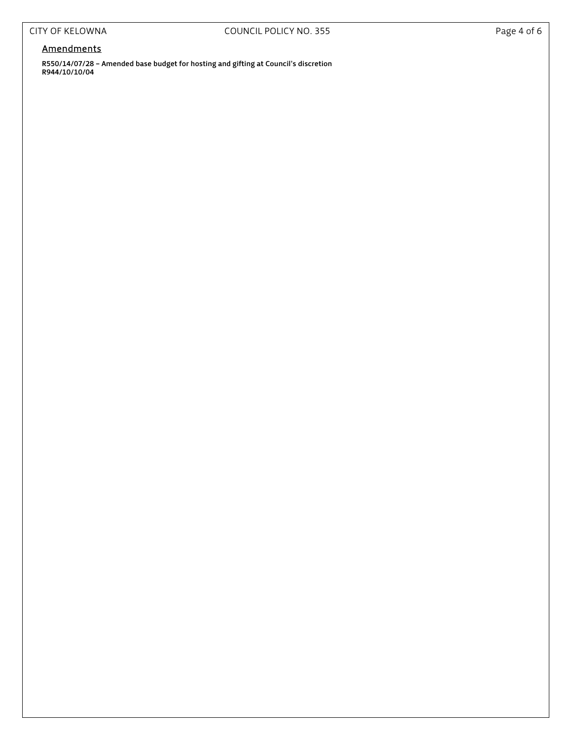# **Amendments**

R550/14/07/28 – Amended base budget for hosting and gifting at Council's discretion R944/10/10/04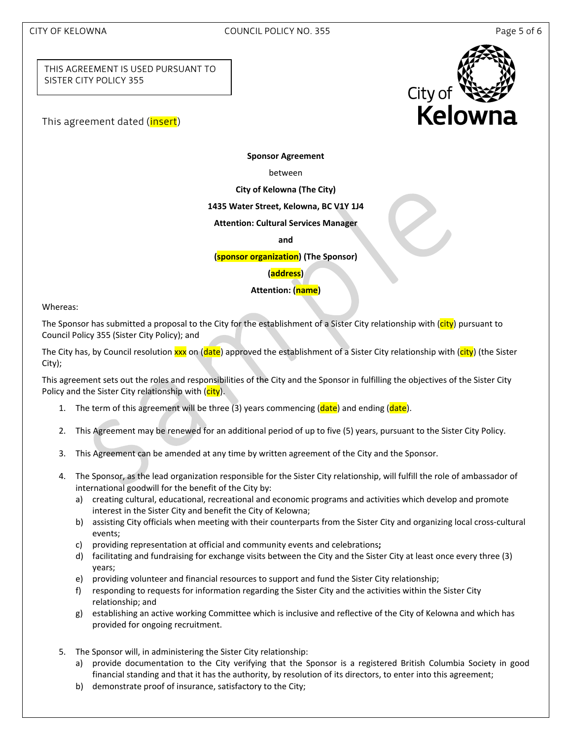## CITY OF KELOWNA COUNCIL POLICY NO. 355 Page 5 of 6

THIS AGREEMENT IS USED PURSUANT TO SISTER CITY POLICY 355

This agreement dated (*insert*)



**Sponsor Agreement**

between

**City of Kelowna (The City)**

**1435 Water Street, Kelowna, BC V1Y 1J4**

**Attention: Cultural Services Manager**

**and**

**(sponsor organization) (The Sponsor)**

**(address)**

**Attention: (name)**

Whereas:

The Sponsor has submitted a proposal to the City for the establishment of a Sister City relationship with (city) pursuant to Council Policy 355 (Sister City Policy); and

The City has, by Council resolution xxx on (date) approved the establishment of a Sister City relationship with (city) (the Sister City);

This agreement sets out the roles and responsibilities of the City and the Sponsor in fulfilling the objectives of the Sister City Policy and the Sister City relationship with (*city*).

- 1. The term of this agreement will be three (3) years commencing (date) and ending (date).
- 2. This Agreement may be renewed for an additional period of up to five (5) years, pursuant to the Sister City Policy.
- 3. This Agreement can be amended at any time by written agreement of the City and the Sponsor.
- 4. The Sponsor, as the lead organization responsible for the Sister City relationship, will fulfill the role of ambassador of international goodwill for the benefit of the City by:
	- a) creating cultural, educational, recreational and economic programs and activities which develop and promote interest in the Sister City and benefit the City of Kelowna;
	- b) assisting City officials when meeting with their counterparts from the Sister City and organizing local cross‐cultural events;
	- c) providing representation at official and community events and celebrations**;**
	- d) facilitating and fundraising for exchange visits between the City and the Sister City at least once every three (3) years;
	- e) providing volunteer and financial resources to support and fund the Sister City relationship;
	- f) responding to requests for information regarding the Sister City and the activities within the Sister City relationship; and
	- g) establishing an active working Committee which is inclusive and reflective of the City of Kelowna and which has provided for ongoing recruitment.
- 5. The Sponsor will, in administering the Sister City relationship:
	- a) provide documentation to the City verifying that the Sponsor is a registered British Columbia Society in good financial standing and that it has the authority, by resolution of its directors, to enter into this agreement;
	- b) demonstrate proof of insurance, satisfactory to the City;